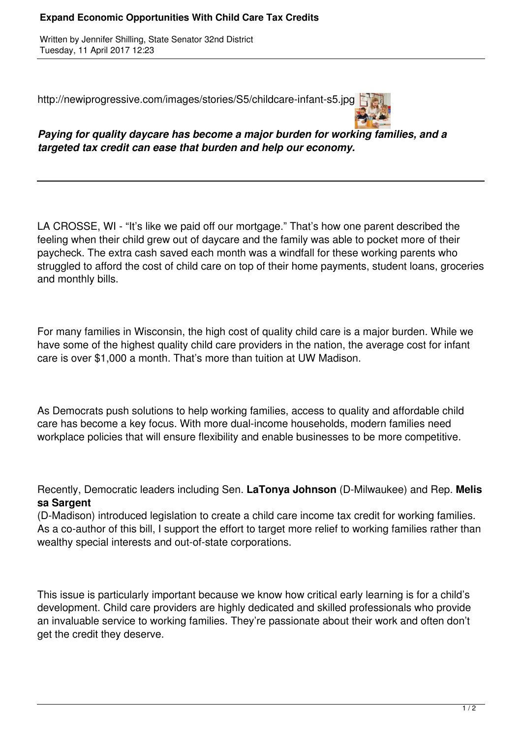## **Expand Economic Opportunities With Child Care Tax Credits**

Written by Jennifer Shilling, State Senator 32nd District Tuesday, 11 April 2017 12:23

http://newiprogressive.com/images/stories/S5/childcare-infant-s5.jpg



*Paying for quality daycare has become a major burden for working families, and a targeted tax credit can ease that burden and help our economy.*

LA CROSSE, WI - "It's like we paid off our mortgage." That's how one parent described the feeling when their child grew out of daycare and the family was able to pocket more of their paycheck. The extra cash saved each month was a windfall for these working parents who struggled to afford the cost of child care on top of their home payments, student loans, groceries and monthly bills.

For many families in Wisconsin, the high cost of quality child care is a major burden. While we have some of the highest quality child care providers in the nation, the average cost for infant care is over \$1,000 a month. That's more than tuition at UW Madison.

As Democrats push solutions to help working families, access to quality and affordable child care has become a key focus. With more dual-income households, modern families need workplace policies that will ensure flexibility and enable businesses to be more competitive.

Recently, Democratic leaders including Sen. **LaTonya Johnson** (D-Milwaukee) and Rep. **Melis sa Sargent**

(D-Madison) introduced legislation to create a child care income tax credit for working families. As a co-author of this bill, I support the effort to target more relief to working families rather than wealthy special interests and out-of-state corporations.

This issue is particularly important because we know how critical early learning is for a child's development. Child care providers are highly dedicated and skilled professionals who provide an invaluable service to working families. They're passionate about their work and often don't get the credit they deserve.